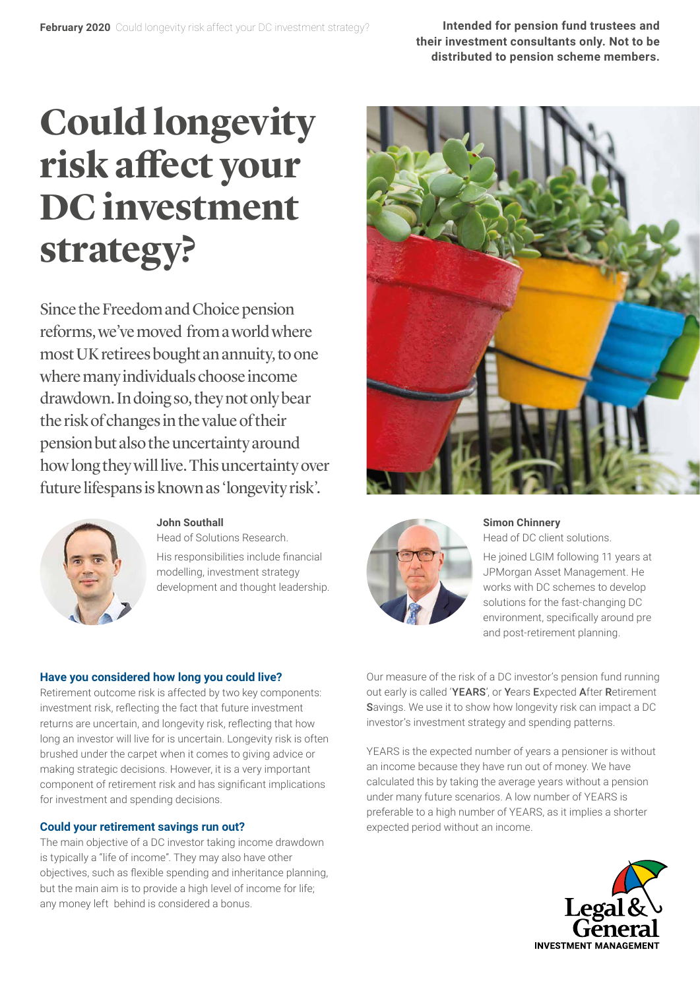**their investment consultants only. Not to be distributed to pension scheme members.**

# **Could longevity risk affect your DC investment strategy?**

Since the Freedom and Choice pension reforms, we've moved from a world where most UK retirees bought an annuity, to one where many individuals choose income drawdown. In doing so, they not only bear the risk of changes in the value of their pension but also the uncertainty around how long they will live. This uncertainty over future lifespans is known as 'longevity risk'.

### **John Southall**

Head of Solutions Research. His responsibilities include financial modelling, investment strategy development and thought leadership.



#### **Simon Chinnery**

Head of DC client solutions. He joined LGIM following 11 years at JPMorgan Asset Management. He works with DC schemes to develop solutions for the fast-changing DC environment, specifically around pre and post-retirement planning.

#### **Have you considered how long you could live?**

Retirement outcome risk is affected by two key components: investment risk, reflecting the fact that future investment returns are uncertain, and longevity risk, reflecting that how long an investor will live for is uncertain. Longevity risk is often brushed under the carpet when it comes to giving advice or making strategic decisions. However, it is a very important component of retirement risk and has significant implications for investment and spending decisions.

#### **Could your retirement savings run out?**

The main objective of a DC investor taking income drawdown is typically a "life of income". They may also have other objectives, such as flexible spending and inheritance planning, but the main aim is to provide a high level of income for life; any money left behind is considered a bonus.

Our measure of the risk of a DC investor's pension fund running out early is called 'YEARS', or Years Expected After Retirement Savings. We use it to show how longevity risk can impact a DC investor's investment strategy and spending patterns.

YEARS is the expected number of years a pensioner is without an income because they have run out of money. We have calculated this by taking the average years without a pension under many future scenarios. A low number of YEARS is preferable to a high number of YEARS, as it implies a shorter expected period without an income.

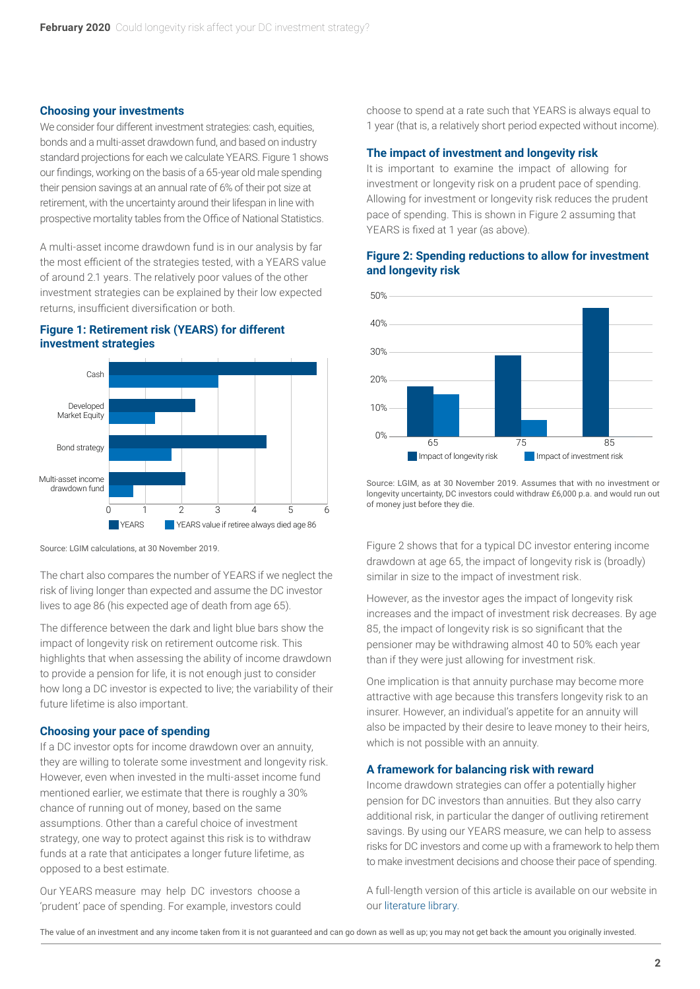#### **Choosing your investments**

We consider four different investment strategies: cash, equities, bonds and a multi-asset drawdown fund, and based on industry standard projections for each we calculate YEARS. Figure 1 shows our findings, working on the basis of a 65-year old male spending their pension savings at an annual rate of 6% of their pot size at retirement, with the uncertainty around their lifespan in line with prospective mortality tables from the Office of National Statistics.

A multi-asset income drawdown fund is in our analysis by far the most efficient of the strategies tested, with a YEARS value of around 2.1 years. The relatively poor values of the other investment strategies can be explained by their low expected returns, insufficient diversification or both.

#### **Figure 1: Retirement risk (YEARS) for different investment strategies**



Source: LGIM calculations, at 30 November 2019.

The chart also compares the number of YEARS if we neglect the risk of living longer than expected and assume the DC investor lives to age 86 (his expected age of death from age 65).

The difference between the dark and light blue bars show the impact of longevity risk on retirement outcome risk. This highlights that when assessing the ability of income drawdown to provide a pension for life, it is not enough just to consider how long a DC investor is expected to live; the variability of their future lifetime is also important.

#### **Choosing your pace of spending**

If a DC investor opts for income drawdown over an annuity, they are willing to tolerate some investment and longevity risk. However, even when invested in the multi-asset income fund mentioned earlier, we estimate that there is roughly a 30% chance of running out of money, based on the same assumptions. Other than a careful choice of investment strategy, one way to protect against this risk is to withdraw funds at a rate that anticipates a longer future lifetime, as opposed to a best estimate.

Our YEARS measure may help DC investors choose a 'prudent' pace of spending. For example, investors could choose to spend at a rate such that YEARS is always equal to 1 year (that is, a relatively short period expected without income).

#### **The impact of investment and longevity risk**

It is important to examine the impact of allowing for investment or longevity risk on a prudent pace of spending. Allowing for investment or longevity risk reduces the prudent pace of spending. This is shown in Figure 2 assuming that YEARS is fixed at 1 year (as above).

#### **Figure 2: Spending reductions to allow for investment and longevity risk**



Source: LGIM, as at 30 November 2019. Assumes that with no investment or longevity uncertainty, DC investors could withdraw £6,000 p.a. and would run out of money just before they die.

Figure 2 shows that for a typical DC investor entering income drawdown at age 65, the impact of longevity risk is (broadly) similar in size to the impact of investment risk.

However, as the investor ages the impact of longevity risk increases and the impact of investment risk decreases. By age 85, the impact of longevity risk is so significant that the pensioner may be withdrawing almost 40 to 50% each year than if they were just allowing for investment risk.

One implication is that annuity purchase may become more attractive with age because this transfers longevity risk to an insurer. However, an individual's appetite for an annuity will also be impacted by their desire to leave money to their heirs, which is not possible with an annuity.

#### **A framework for balancing risk with reward**

Income drawdown strategies can offer a potentially higher pension for DC investors than annuities. But they also carry additional risk, in particular the danger of outliving retirement savings. By using our YEARS measure, we can help to assess risks for DC investors and come up with a framework to help them to make investment decisions and choose their pace of spending.

A full-length version of this article is available on our website in our literature library.

The value of an investment and any income taken from it is not guaranteed and can go down as well as up; you may not get back the amount you originally invested.